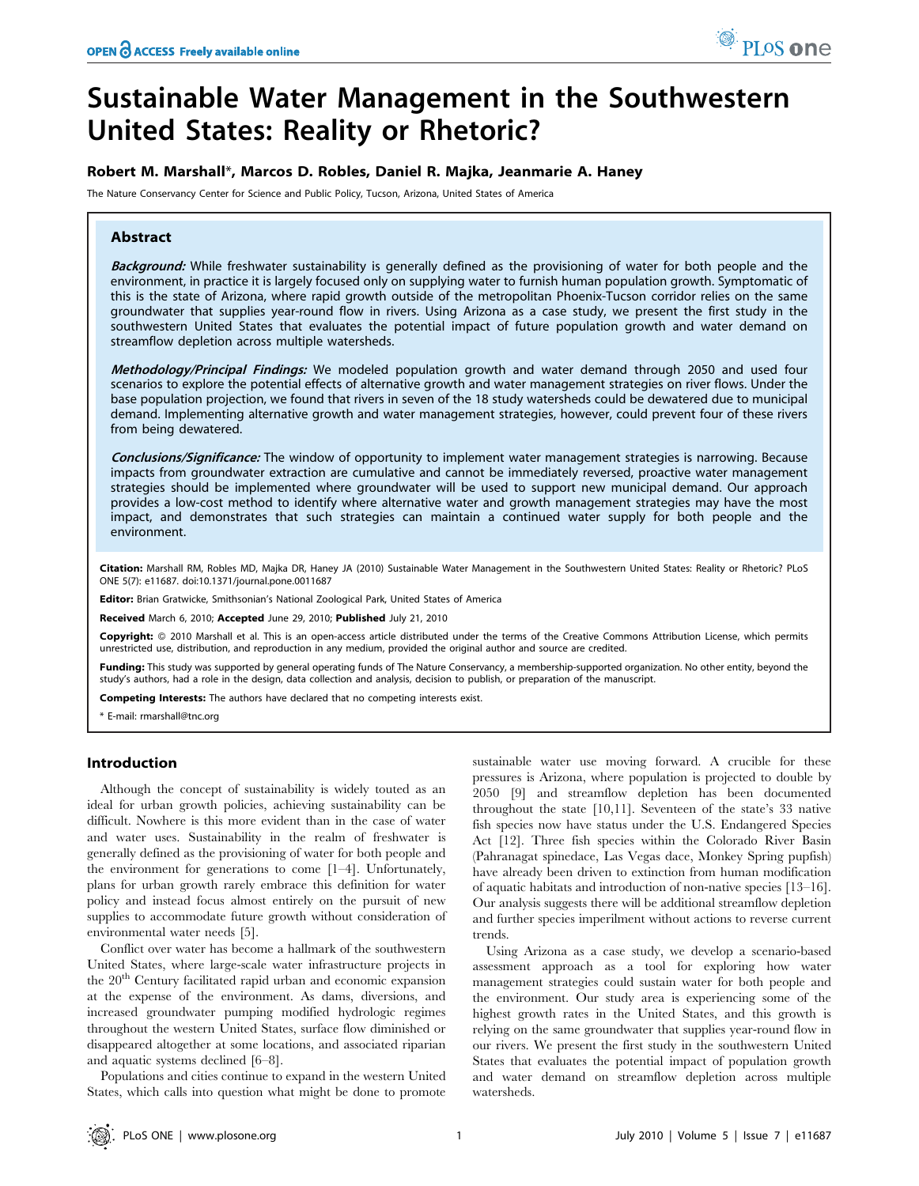# Sustainable Water Management in the Southwestern United States: Reality or Rhetoric?

# Robert M. Marshall\*, Marcos D. Robles, Daniel R. Majka, Jeanmarie A. Haney

The Nature Conservancy Center for Science and Public Policy, Tucson, Arizona, United States of America

# Abstract

Background: While freshwater sustainability is generally defined as the provisioning of water for both people and the environment, in practice it is largely focused only on supplying water to furnish human population growth. Symptomatic of this is the state of Arizona, where rapid growth outside of the metropolitan Phoenix-Tucson corridor relies on the same groundwater that supplies year-round flow in rivers. Using Arizona as a case study, we present the first study in the southwestern United States that evaluates the potential impact of future population growth and water demand on streamflow depletion across multiple watersheds.

Methodology/Principal Findings: We modeled population growth and water demand through 2050 and used four scenarios to explore the potential effects of alternative growth and water management strategies on river flows. Under the base population projection, we found that rivers in seven of the 18 study watersheds could be dewatered due to municipal demand. Implementing alternative growth and water management strategies, however, could prevent four of these rivers from being dewatered.

Conclusions/Significance: The window of opportunity to implement water management strategies is narrowing. Because impacts from groundwater extraction are cumulative and cannot be immediately reversed, proactive water management strategies should be implemented where groundwater will be used to support new municipal demand. Our approach provides a low-cost method to identify where alternative water and growth management strategies may have the most impact, and demonstrates that such strategies can maintain a continued water supply for both people and the environment.

Citation: Marshall RM, Robles MD, Majka DR, Haney JA (2010) Sustainable Water Management in the Southwestern United States: Reality or Rhetoric? PLoS ONE 5(7): e11687. doi:10.1371/journal.pone.0011687

Editor: Brian Gratwicke, Smithsonian's National Zoological Park, United States of America

Received March 6, 2010; Accepted June 29, 2010; Published July 21, 2010

Copyright: © 2010 Marshall et al. This is an open-access article distributed under the terms of the Creative Commons Attribution License, which permits unrestricted use, distribution, and reproduction in any medium, provided the original author and source are credited.

Funding: This study was supported by general operating funds of The Nature Conservancy, a membership-supported organization. No other entity, beyond the study's authors, had a role in the design, data collection and analysis, decision to publish, or preparation of the manuscript.

Competing Interests: The authors have declared that no competing interests exist.

\* E-mail: rmarshall@tnc.org

# Introduction

Although the concept of sustainability is widely touted as an ideal for urban growth policies, achieving sustainability can be difficult. Nowhere is this more evident than in the case of water and water uses. Sustainability in the realm of freshwater is generally defined as the provisioning of water for both people and the environment for generations to come [1–4]. Unfortunately, plans for urban growth rarely embrace this definition for water policy and instead focus almost entirely on the pursuit of new supplies to accommodate future growth without consideration of environmental water needs [5].

Conflict over water has become a hallmark of the southwestern United States, where large-scale water infrastructure projects in the 20<sup>th</sup> Century facilitated rapid urban and economic expansion at the expense of the environment. As dams, diversions, and increased groundwater pumping modified hydrologic regimes throughout the western United States, surface flow diminished or disappeared altogether at some locations, and associated riparian and aquatic systems declined [6–8].

Populations and cities continue to expand in the western United States, which calls into question what might be done to promote

sustainable water use moving forward. A crucible for these pressures is Arizona, where population is projected to double by 2050 [9] and streamflow depletion has been documented throughout the state [10,11]. Seventeen of the state's 33 native fish species now have status under the U.S. Endangered Species Act [12]. Three fish species within the Colorado River Basin (Pahranagat spinedace, Las Vegas dace, Monkey Spring pupfish) have already been driven to extinction from human modification of aquatic habitats and introduction of non-native species [13–16]. Our analysis suggests there will be additional streamflow depletion and further species imperilment without actions to reverse current trends.

Using Arizona as a case study, we develop a scenario-based assessment approach as a tool for exploring how water management strategies could sustain water for both people and the environment. Our study area is experiencing some of the highest growth rates in the United States, and this growth is relying on the same groundwater that supplies year-round flow in our rivers. We present the first study in the southwestern United States that evaluates the potential impact of population growth and water demand on streamflow depletion across multiple watersheds.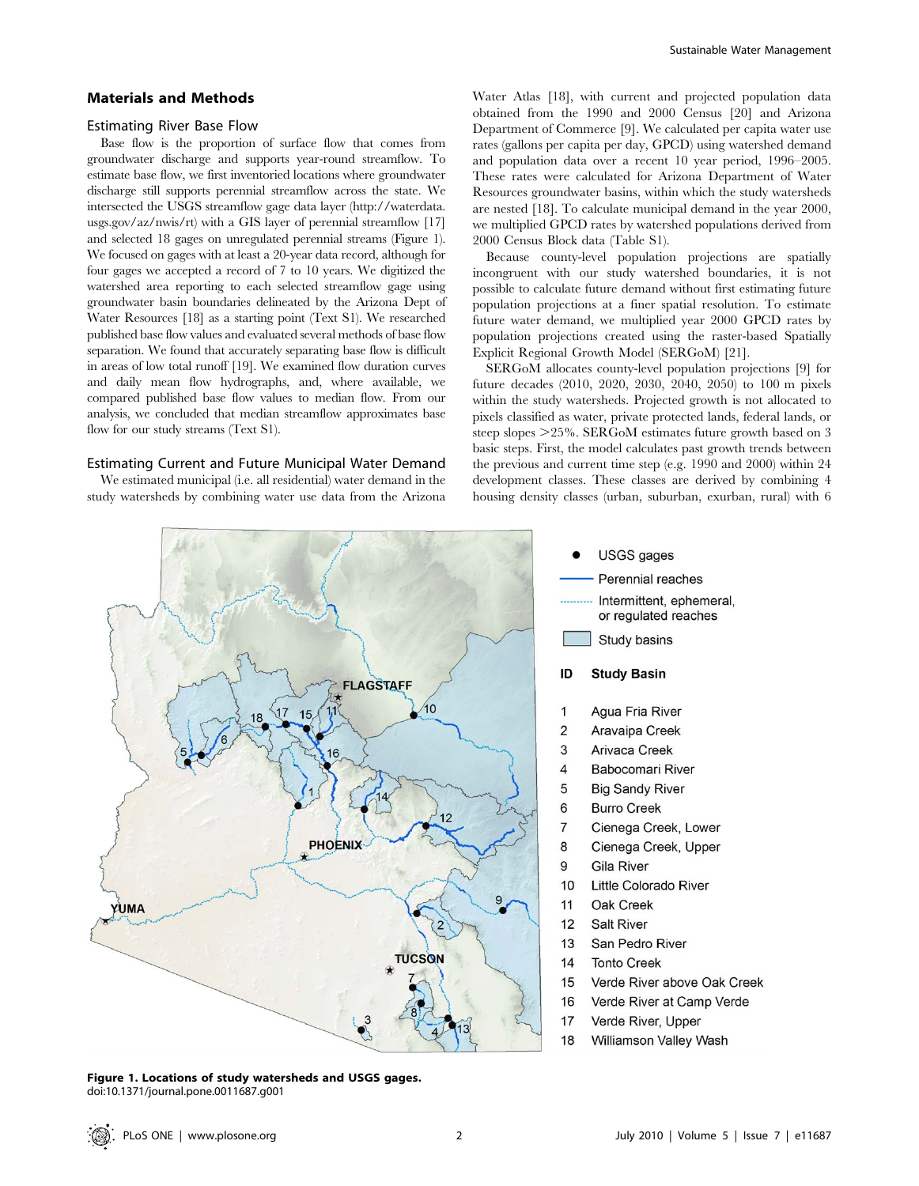#### Materials and Methods

#### Estimating River Base Flow

Base flow is the proportion of surface flow that comes from groundwater discharge and supports year-round streamflow. To estimate base flow, we first inventoried locations where groundwater discharge still supports perennial streamflow across the state. We intersected the USGS streamflow gage data layer (http://waterdata. usgs.gov/az/nwis/rt) with a GIS layer of perennial streamflow [17] and selected 18 gages on unregulated perennial streams (Figure 1). We focused on gages with at least a 20-year data record, although for four gages we accepted a record of 7 to 10 years. We digitized the watershed area reporting to each selected streamflow gage using groundwater basin boundaries delineated by the Arizona Dept of Water Resources [18] as a starting point (Text S1). We researched published base flow values and evaluated several methods of base flow separation. We found that accurately separating base flow is difficult in areas of low total runoff [19]. We examined flow duration curves and daily mean flow hydrographs, and, where available, we compared published base flow values to median flow. From our analysis, we concluded that median streamflow approximates base flow for our study streams (Text S1).

## Estimating Current and Future Municipal Water Demand

We estimated municipal (i.e. all residential) water demand in the study watersheds by combining water use data from the Arizona Water Atlas [18], with current and projected population data obtained from the 1990 and 2000 Census [20] and Arizona Department of Commerce [9]. We calculated per capita water use rates (gallons per capita per day, GPCD) using watershed demand and population data over a recent 10 year period, 1996–2005. These rates were calculated for Arizona Department of Water Resources groundwater basins, within which the study watersheds are nested [18]. To calculate municipal demand in the year 2000, we multiplied GPCD rates by watershed populations derived from 2000 Census Block data (Table S1).

Because county-level population projections are spatially incongruent with our study watershed boundaries, it is not possible to calculate future demand without first estimating future population projections at a finer spatial resolution. To estimate future water demand, we multiplied year 2000 GPCD rates by population projections created using the raster-based Spatially Explicit Regional Growth Model (SERGoM) [21].

SERGoM allocates county-level population projections [9] for future decades (2010, 2020, 2030, 2040, 2050) to 100 m pixels within the study watersheds. Projected growth is not allocated to pixels classified as water, private protected lands, federal lands, or steep slopes  $>25\%$ . SERGoM estimates future growth based on 3 basic steps. First, the model calculates past growth trends between the previous and current time step (e.g. 1990 and 2000) within 24 development classes. These classes are derived by combining 4 housing density classes (urban, suburban, exurban, rural) with 6



Figure 1. Locations of study watersheds and USGS gages. doi:10.1371/journal.pone.0011687.g001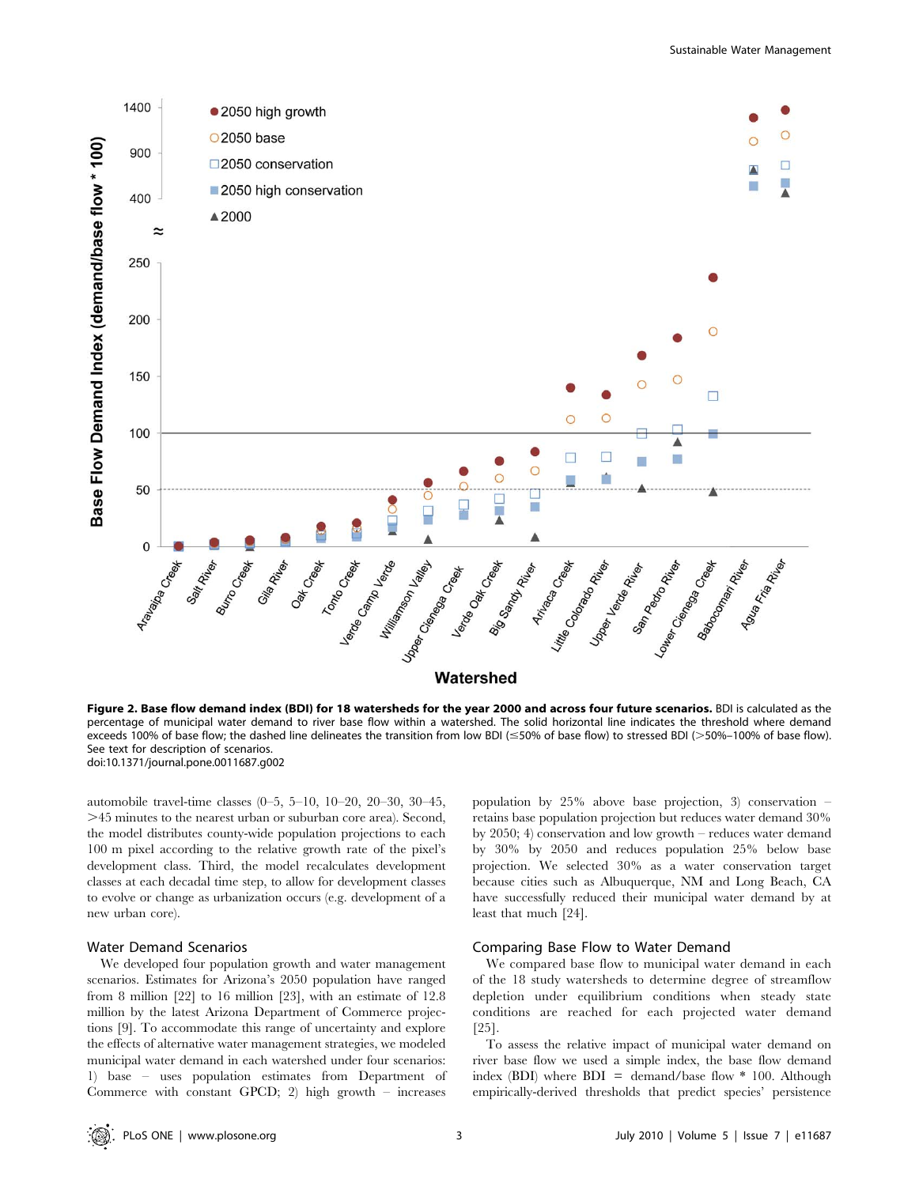

Figure 2. Base flow demand index (BDI) for 18 watersheds for the year 2000 and across four future scenarios. BDI is calculated as the percentage of municipal water demand to river base flow within a watershed. The solid horizontal line indicates the threshold where demand exceeds 100% of base flow; the dashed line delineates the transition from low BDI (≤50% of base flow) to stressed BDI (>50%–100% of base flow). See text for description of scenarios. doi:10.1371/journal.pone.0011687.g002

automobile travel-time classes (0–5, 5–10, 10–20, 20–30, 30–45, .45 minutes to the nearest urban or suburban core area). Second, the model distributes county-wide population projections to each 100 m pixel according to the relative growth rate of the pixel's development class. Third, the model recalculates development classes at each decadal time step, to allow for development classes to evolve or change as urbanization occurs (e.g. development of a new urban core).

## Water Demand Scenarios

We developed four population growth and water management scenarios. Estimates for Arizona's 2050 population have ranged from 8 million [22] to 16 million [23], with an estimate of 12.8 million by the latest Arizona Department of Commerce projections [9]. To accommodate this range of uncertainty and explore the effects of alternative water management strategies, we modeled municipal water demand in each watershed under four scenarios: 1) base – uses population estimates from Department of Commerce with constant GPCD; 2) high growth – increases population by 25% above base projection, 3) conservation – retains base population projection but reduces water demand 30% by 2050; 4) conservation and low growth – reduces water demand by 30% by 2050 and reduces population 25% below base projection. We selected 30% as a water conservation target because cities such as Albuquerque, NM and Long Beach, CA have successfully reduced their municipal water demand by at least that much [24].

#### Comparing Base Flow to Water Demand

We compared base flow to municipal water demand in each of the 18 study watersheds to determine degree of streamflow depletion under equilibrium conditions when steady state conditions are reached for each projected water demand [25].

To assess the relative impact of municipal water demand on river base flow we used a simple index, the base flow demand index (BDI) where  $BDI = demand/base flow * 100$ . Although empirically-derived thresholds that predict species' persistence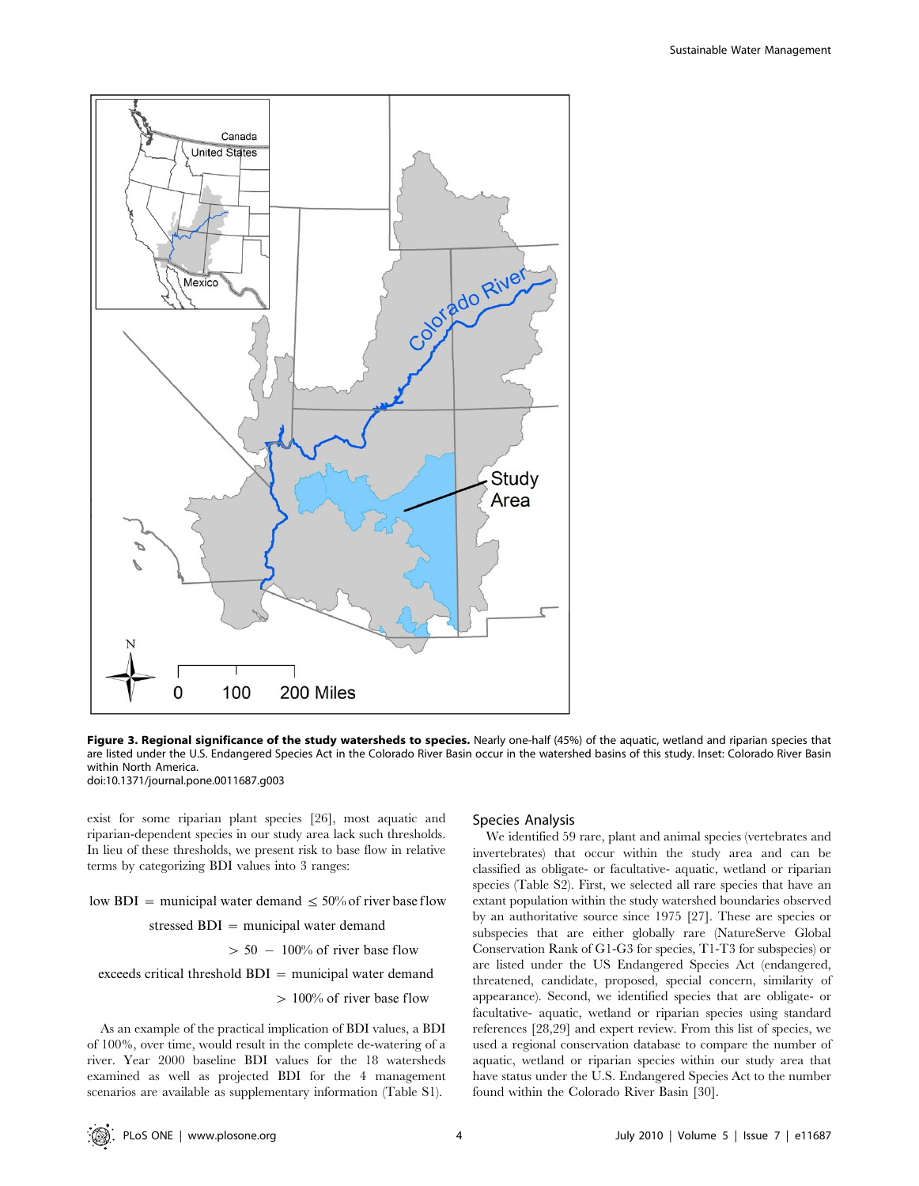

Figure 3. Regional significance of the study watersheds to species. Nearly one-half (45%) of the aquatic, wetland and riparian species that are listed under the U.S. Endangered Species Act in the Colorado River Basin occur in the watershed basins of this study. Inset: Colorado River Basin within North America. doi:10.1371/journal.pone.0011687.g003

exist for some riparian plant species [26], most aquatic and riparian-dependent species in our study area lack such thresholds. In lieu of these thresholds, we present risk to base flow in relative terms by categorizing BDI values into 3 ranges:

low BDI = municipal water demand  $\leq 50\%$  of river base flow stressed  $BDI$  = municipal water demand

 $> 50 - 100\%$  of river base flow

 $exceeds critical threshold BDI = municipal water demand$ 

 $> 100\%$  of river base flow

As an example of the practical implication of BDI values, a BDI of 100%, over time, would result in the complete de-watering of a river. Year 2000 baseline BDI values for the 18 watersheds examined as well as projected BDI for the 4 management scenarios are available as supplementary information (Table S1).

#### Species Analysis

We identified 59 rare, plant and animal species (vertebrates and invertebrates) that occur within the study area and can be classified as obligate- or facultative- aquatic, wetland or riparian species (Table S2). First, we selected all rare species that have an extant population within the study watershed boundaries observed by an authoritative source since 1975 [27]. These are species or subspecies that are either globally rare (NatureServe Global Conservation Rank of G1-G3 for species, T1-T3 for subspecies) or are listed under the US Endangered Species Act (endangered, threatened, candidate, proposed, special concern, similarity of appearance). Second, we identified species that are obligate- or facultative- aquatic, wetland or riparian species using standard references [28,29] and expert review. From this list of species, we used a regional conservation database to compare the number of aquatic, wetland or riparian species within our study area that have status under the U.S. Endangered Species Act to the number found within the Colorado River Basin [30].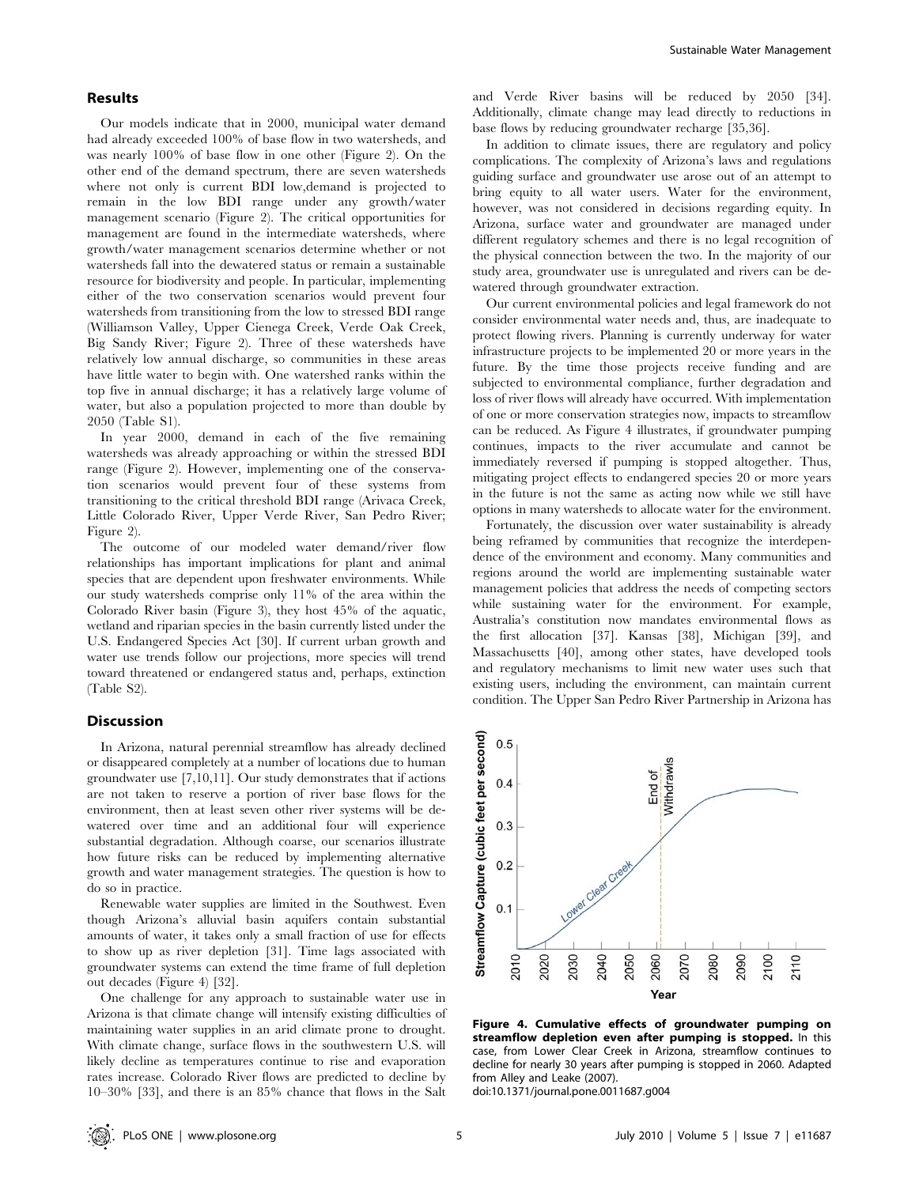## Results

Our models indicate that in 2000, municipal water demand had already exceeded 100% of base flow in two watersheds, and was nearly 100% of base flow in one other (Figure 2). On the other end of the demand spectrum, there are seven watersheds where not only is current BDI low,demand is projected to remain in the low BDI range under any growth/water management scenario (Figure 2). The critical opportunities for management are found in the intermediate watersheds, where growth/water management scenarios determine whether or not watersheds fall into the dewatered status or remain a sustainable resource for biodiversity and people. In particular, implementing either of the two conservation scenarios would prevent four watersheds from transitioning from the low to stressed BDI range (Williamson Valley, Upper Cienega Creek, Verde Oak Creek, Big Sandy River; Figure 2). Three of these watersheds have relatively low annual discharge, so communities in these areas have little water to begin with. One watershed ranks within the top five in annual discharge; it has a relatively large volume of water, but also a population projected to more than double by 2050 (Table S1).

In year 2000, demand in each of the five remaining watersheds was already approaching or within the stressed BDI range (Figure 2). However, implementing one of the conservation scenarios would prevent four of these systems from transitioning to the critical threshold BDI range (Arivaca Creek, Little Colorado River, Upper Verde River, San Pedro River; Figure 2).

The outcome of our modeled water demand/river flow relationships has important implications for plant and animal species that are dependent upon freshwater environments. While our study watersheds comprise only 11% of the area within the Colorado River basin (Figure 3), they host 45% of the aquatic, wetland and riparian species in the basin currently listed under the U.S. Endangered Species Act [30]. If current urban growth and water use trends follow our projections, more species will trend toward threatened or endangered status and, perhaps, extinction (Table S2).

## Discussion

In Arizona, natural perennial streamflow has already declined or disappeared completely at a number of locations due to human groundwater use [7,10,11]. Our study demonstrates that if actions are not taken to reserve a portion of river base flows for the environment, then at least seven other river systems will be dewatered over time and an additional four will experience substantial degradation. Although coarse, our scenarios illustrate how future risks can be reduced by implementing alternative growth and water management strategies. The question is how to do so in practice.

Renewable water supplies are limited in the Southwest. Even though Arizona's alluvial basin aquifers contain substantial amounts of water, it takes only a small fraction of use for effects to show up as river depletion [31]. Time lags associated with groundwater systems can extend the time frame of full depletion out decades (Figure 4) [32].

One challenge for any approach to sustainable water use in Arizona is that climate change will intensify existing difficulties of maintaining water supplies in an arid climate prone to drought. With climate change, surface flows in the southwestern U.S. will likely decline as temperatures continue to rise and evaporation rates increase. Colorado River flows are predicted to decline by 10–30% [33], and there is an 85% chance that flows in the Salt and Verde River basins will be reduced by 2050 [34]. Additionally, climate change may lead directly to reductions in base flows by reducing groundwater recharge [35,36].

In addition to climate issues, there are regulatory and policy complications. The complexity of Arizona's laws and regulations guiding surface and groundwater use arose out of an attempt to bring equity to all water users. Water for the environment, however, was not considered in decisions regarding equity. In Arizona, surface water and groundwater are managed under different regulatory schemes and there is no legal recognition of the physical connection between the two. In the majority of our study area, groundwater use is unregulated and rivers can be dewatered through groundwater extraction.

Our current environmental policies and legal framework do not consider environmental water needs and, thus, are inadequate to protect flowing rivers. Planning is currently underway for water infrastructure projects to be implemented 20 or more years in the future. By the time those projects receive funding and are subjected to environmental compliance, further degradation and loss of river flows will already have occurred. With implementation of one or more conservation strategies now, impacts to streamflow can be reduced. As Figure 4 illustrates, if groundwater pumping continues, impacts to the river accumulate and cannot be immediately reversed if pumping is stopped altogether. Thus, mitigating project effects to endangered species 20 or more years in the future is not the same as acting now while we still have options in many watersheds to allocate water for the environment.

Fortunately, the discussion over water sustainability is already being reframed by communities that recognize the interdependence of the environment and economy. Many communities and regions around the world are implementing sustainable water management policies that address the needs of competing sectors while sustaining water for the environment. For example, Australia's constitution now mandates environmental flows as the first allocation [37]. Kansas [38], Michigan [39], and Massachusetts [40], among other states, have developed tools and regulatory mechanisms to limit new water uses such that existing users, including the environment, can maintain current condition. The Upper San Pedro River Partnership in Arizona has



Figure 4. Cumulative effects of groundwater pumping on streamflow depletion even after pumping is stopped. In this case, from Lower Clear Creek in Arizona, streamflow continues to decline for nearly 30 years after pumping is stopped in 2060. Adapted from Alley and Leake (2007).

doi:10.1371/journal.pone.0011687.g004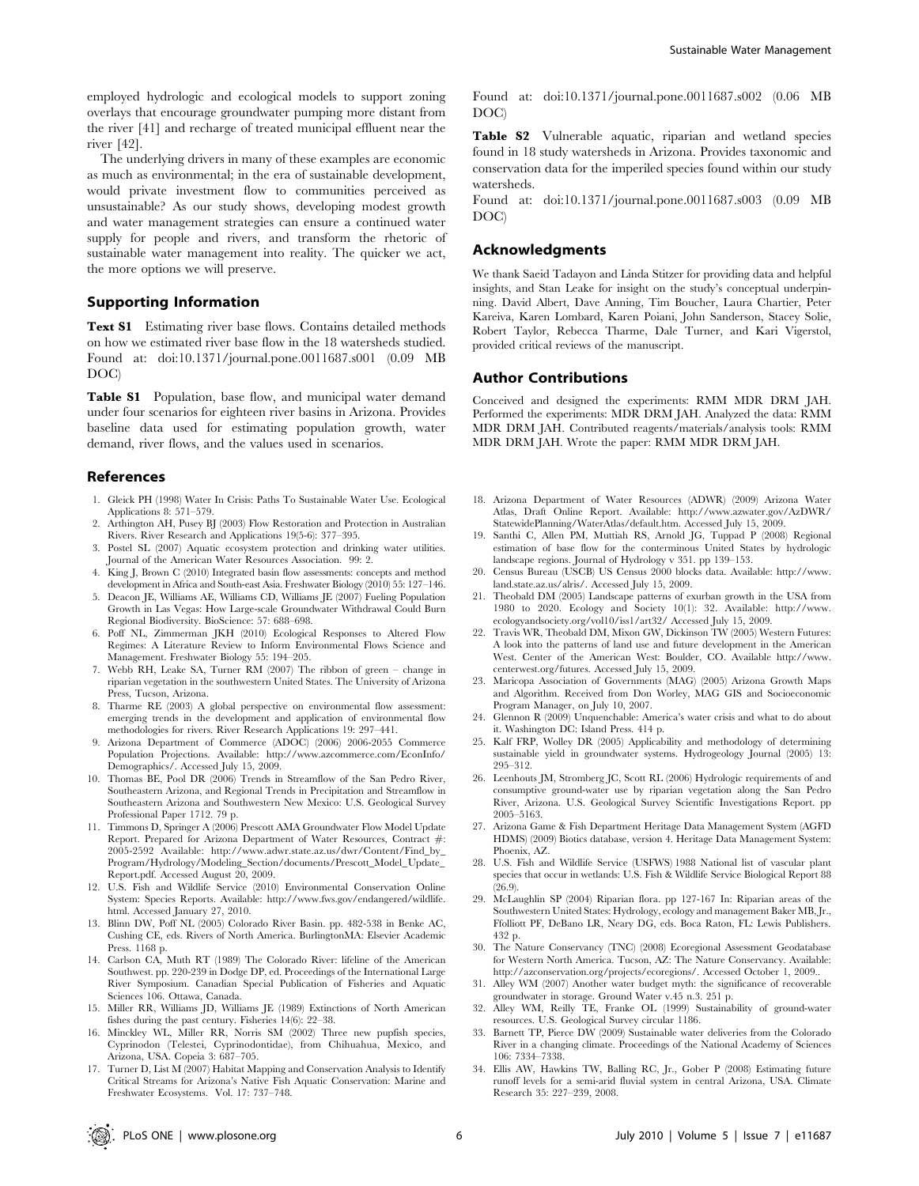employed hydrologic and ecological models to support zoning overlays that encourage groundwater pumping more distant from the river [41] and recharge of treated municipal effluent near the river [42].

The underlying drivers in many of these examples are economic as much as environmental; in the era of sustainable development, would private investment flow to communities perceived as unsustainable? As our study shows, developing modest growth and water management strategies can ensure a continued water supply for people and rivers, and transform the rhetoric of sustainable water management into reality. The quicker we act, the more options we will preserve.

# Supporting Information

Text S1 Estimating river base flows. Contains detailed methods on how we estimated river base flow in the 18 watersheds studied. Found at: doi:10.1371/journal.pone.0011687.s001 (0.09 MB DOC)

Table S1 Population, base flow, and municipal water demand under four scenarios for eighteen river basins in Arizona. Provides baseline data used for estimating population growth, water demand, river flows, and the values used in scenarios.

#### References

- 1. Gleick PH (1998) Water In Crisis: Paths To Sustainable Water Use. Ecological Applications 8: 571–579.
- 2. Arthington AH, Pusey BJ (2003) Flow Restoration and Protection in Australian Rivers. River Research and Applications 19(5-6): 377–395.
- 3. Postel SL (2007) Aquatic ecosystem protection and drinking water utilities. Journal of the American Water Resources Association. 99: 2.
- 4. King J, Brown C (2010) Integrated basin flow assessments: concepts and method development in Africa and South-east Asia. Freshwater Biology (2010) 55: 127–146.
- 5. Deacon JE, Williams AE, Williams CD, Williams JE (2007) Fueling Population Growth in Las Vegas: How Large-scale Groundwater Withdrawal Could Burn Regional Biodiversity. BioScience: 57: 688–698.
- 6. Poff NL, Zimmerman JKH (2010) Ecological Responses to Altered Flow Regimes: A Literature Review to Inform Environmental Flows Science and Management. Freshwater Biology 55: 194–205.
- 7. Webb RH, Leake SA, Turner RM (2007) The ribbon of green change in riparian vegetation in the southwestern United States. The University of Arizona Press, Tucson, Arizona.
- 8. Tharme RE (2003) A global perspective on environmental flow assessment: emerging trends in the development and application of environmental flow methodologies for rivers. River Research Applications 19: 297–441.
- 9. Arizona Department of Commerce (ADOC) (2006) 2006-2055 Commerce Population Projections. Available: http://www.azcommerce.com/EconInfo/ Demographics/. Accessed July 15, 2009.
- 10. Thomas BE, Pool DR (2006) Trends in Streamflow of the San Pedro River, Southeastern Arizona, and Regional Trends in Precipitation and Streamflow in Southeastern Arizona and Southwestern New Mexico: U.S. Geological Survey Professional Paper 1712. 79 p.
- 11. Timmons D, Springer A (2006) Prescott AMA Groundwater Flow Model Update Report. Prepared for Arizona Department of Water Resources, Contract #: 2005-2592 Available: http://www.adwr.state.az.us/dwr/Content/Find\_by\_ Program/Hydrology/Modeling\_Section/documents/Prescott\_Model\_Update\_ Report.pdf. Accessed August 20, 2009.
- 12. U.S. Fish and Wildlife Service (2010) Environmental Conservation Online System: Species Reports. Available: http://www.fws.gov/endangered/wildlife. html. Accessed January 27, 2010.
- 13. Blinn DW, Poff NL (2005) Colorado River Basin. pp. 482-538 in Benke AC, Cushing CE, eds. Rivers of North America. BurlingtonMA: Elsevier Academic Press. 1168 p.
- 14. Carlson CA, Muth RT (1989) The Colorado River: lifeline of the American Southwest. pp. 220-239 in Dodge DP, ed. Proceedings of the International Large River Symposium. Canadian Special Publication of Fisheries and Aquatic Sciences 106. Ottawa, Canada.
- 15. Miller RR, Williams JD, Williams JE (1989) Extinctions of North American fishes during the past century. Fisheries 14(6): 22–38.
- 16. Minckley WL, Miller RR, Norris SM (2002) Three new pupfish species, Cyprinodon (Telestei, Cyprinodontidae), from Chihuahua, Mexico, and Arizona, USA. Copeia 3: 687–705.
- 17. Turner D, List M (2007) Habitat Mapping and Conservation Analysis to Identify Critical Streams for Arizona's Native Fish Aquatic Conservation: Marine and Freshwater Ecosystems. Vol. 17: 737–748.

Found at: doi:10.1371/journal.pone.0011687.s002 (0.06 MB DOC)

Table S2 Vulnerable aquatic, riparian and wetland species found in 18 study watersheds in Arizona. Provides taxonomic and conservation data for the imperiled species found within our study watersheds.

Found at: doi:10.1371/journal.pone.0011687.s003 (0.09 MB DOC)

#### Acknowledgments

We thank Saeid Tadayon and Linda Stitzer for providing data and helpful insights, and Stan Leake for insight on the study's conceptual underpinning. David Albert, Dave Anning, Tim Boucher, Laura Chartier, Peter Kareiva, Karen Lombard, Karen Poiani, John Sanderson, Stacey Solie, Robert Taylor, Rebecca Tharme, Dale Turner, and Kari Vigerstol, provided critical reviews of the manuscript.

#### Author Contributions

Conceived and designed the experiments: RMM MDR DRM JAH. Performed the experiments: MDR DRM JAH. Analyzed the data: RMM MDR DRM JAH. Contributed reagents/materials/analysis tools: RMM MDR DRM JAH. Wrote the paper: RMM MDR DRM JAH.

- 18. Arizona Department of Water Resources (ADWR) (2009) Arizona Water Atlas, Draft Online Report. Available: http://www.azwater.gov/AzDWR/ StatewidePlanning/WaterAtlas/default.htm. Accessed July 15, 2009.
- 19. Santhi C, Allen PM, Muttiah RS, Arnold JG, Tuppad P (2008) Regional estimation of base flow for the conterminous United States by hydrologic landscape regions. Journal of Hydrology v 351. pp 139–153.
- 20. Census Bureau (USCB) US Census 2000 blocks data. Available: http://www. land.state.az.us/alris/. Accessed July 15, 2009.
- 21. Theobald DM (2005) Landscape patterns of exurban growth in the USA from 1980 to 2020. Ecology and Society 10(1): 32. Available: http://www. ecologyandsociety.org/vol10/iss1/art32/ Accessed July 15, 2009.
- 22. Travis WR, Theobald DM, Mixon GW, Dickinson TW (2005) Western Futures: A look into the patterns of land use and future development in the American West. Center of the American West: Boulder, CO. Available http://www. centerwest.org/futures. Accessed July 15, 2009.
- 23. Maricopa Association of Governments (MAG) (2005) Arizona Growth Maps and Algorithm. Received from Don Worley, MAG GIS and Socioeconomic Program Manager, on July 10, 2007.
- 24. Glennon R (2009) Unquenchable: America's water crisis and what to do about it. Washington DC: Island Press. 414 p.
- 25. Kalf FRP, Wolley DR (2005) Applicability and methodology of determining sustainable yield in groundwater systems. Hydrogeology Journal (2005) 13: 295–312.
- 26. Leenhouts JM, Stromberg JC, Scott RL (2006) Hydrologic requirements of and consumptive ground-water use by riparian vegetation along the San Pedro River, Arizona. U.S. Geological Survey Scientific Investigations Report. pp 2005–5163.
- 27. Arizona Game & Fish Department Heritage Data Management System (AGFD HDMS) (2009) Biotics database, version 4. Heritage Data Management System: Phoenix, AZ.
- 28. U.S. Fish and Wildlife Service (USFWS) 1988 National list of vascular plant species that occur in wetlands: U.S. Fish & Wildlife Service Biological Report 88 (26.9).
- 29. McLaughlin SP (2004) Riparian flora. pp 127-167 In: Riparian areas of the Southwestern United States: Hydrology, ecology and management Baker MB, Jr., Ffolliott PF, DeBano LR, Neary DG, eds. Boca Raton, FL: Lewis Publishers. 432 p.
- 30. The Nature Conservancy (TNC) (2008) Ecoregional Assessment Geodatabase for Western North America. Tucson, AZ: The Nature Conservancy. Available: http://azconservation.org/projects/ecoregions/. Accessed October 1, 2009..
- 31. Alley WM (2007) Another water budget myth: the significance of recoverable groundwater in storage. Ground Water v.45 n.3. 251 p.
- 32. Alley WM, Reilly TE, Franke OL (1999) Sustainability of ground-water resources. U.S. Geological Survey circular 1186.
- 33. Barnett TP, Pierce DW (2009) Sustainable water deliveries from the Colorado River in a changing climate. Proceedings of the National Academy of Sciences 106: 7334–7338.
- 34. Ellis AW, Hawkins TW, Balling RC, Jr., Gober P (2008) Estimating future runoff levels for a semi-arid fluvial system in central Arizona, USA. Climate Research 35: 227–239, 2008.